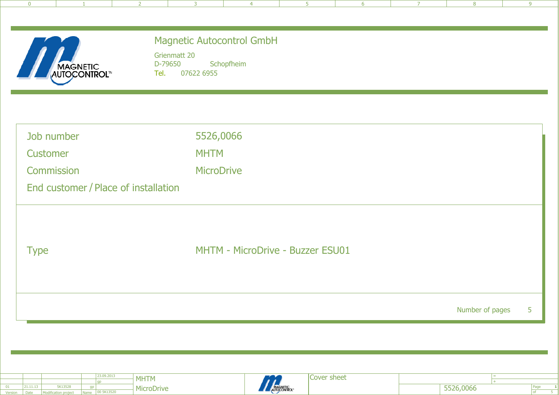| $\overline{0}$                       | 2<br>3                                | $\overline{4}$                   | 5 <sub>1</sub> | 6 | $\overline{7}$ | 8               | 9 |
|--------------------------------------|---------------------------------------|----------------------------------|----------------|---|----------------|-----------------|---|
|                                      |                                       |                                  |                |   |                |                 |   |
|                                      | <b>Magnetic Autocontrol GmbH</b>      |                                  |                |   |                |                 |   |
|                                      | Grienmatt 20<br>D-79650<br>Schopfheim |                                  |                |   |                |                 |   |
| <b>MAGNETIC<br/>AUTOCONTROL™</b>     | Tel.<br>07622 6955                    |                                  |                |   |                |                 |   |
|                                      |                                       |                                  |                |   |                |                 |   |
|                                      |                                       |                                  |                |   |                |                 |   |
| Job number                           | 5526,0066                             |                                  |                |   |                |                 |   |
| Customer                             | <b>MHTM</b>                           |                                  |                |   |                |                 |   |
| <b>Commission</b>                    | <b>MicroDrive</b>                     |                                  |                |   |                |                 |   |
| End customer / Place of installation |                                       |                                  |                |   |                |                 |   |
|                                      |                                       |                                  |                |   |                |                 |   |
|                                      |                                       |                                  |                |   |                |                 |   |
| <b>Type</b>                          |                                       | MHTM - MicroDrive - Buzzer ESU01 |                |   |                |                 |   |
|                                      |                                       |                                  |                |   |                |                 |   |
|                                      |                                       |                                  |                |   |                |                 |   |
|                                      |                                       |                                  |                |   |                | Number of pages | 5 |
|                                      |                                       |                                  |                |   |                |                 |   |
|                                      |                                       |                                  |                |   |                |                 |   |
|                                      |                                       |                                  |                |   |                |                 |   |

|         |          |                             |             | 123.09.2013 | <b>MHTM</b> |
|---------|----------|-----------------------------|-------------|-------------|-------------|
|         |          |                             |             | .gp         |             |
|         | 21.11.13 | 5K13528                     | ap          |             | MicroDri    |
| Version | Date:    | <b>Modification project</b> | <b>Name</b> | 00 5K13520  |             |
|         |          |                             |             |             |             |



Cover sheet

 MicroDrive+

=

Page<br>of

 $\frac{1}{5}$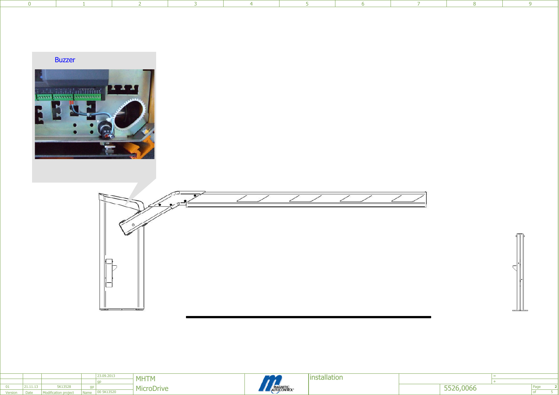|  |  |  | 0 1 2 3 4 5 6 5 |  | and the company of the company of the |
|--|--|--|-----------------|--|---------------------------------------|
|  |  |  |                 |  |                                       |





|         |             |                             |             | 23.09.2013 | <b>MHTM</b>       |
|---------|-------------|-----------------------------|-------------|------------|-------------------|
|         |             |                             |             | gp         |                   |
|         | 21.11.13    | 5K13528                     | qp          |            | <b>MicroDrive</b> |
| Version | <b>Date</b> | <b>Modification project</b> | <b>Name</b> | 00 5K13520 |                   |
|         |             |                             |             |            |                   |



**Installation** 

 MicroDriveand the stallation<br>
State of the state of the state of the state of the state of the state of the state of the state of the state of the state of the state of the state of the state of the state of the state of the state o

Page

 $\frac{2}{5}$ 

+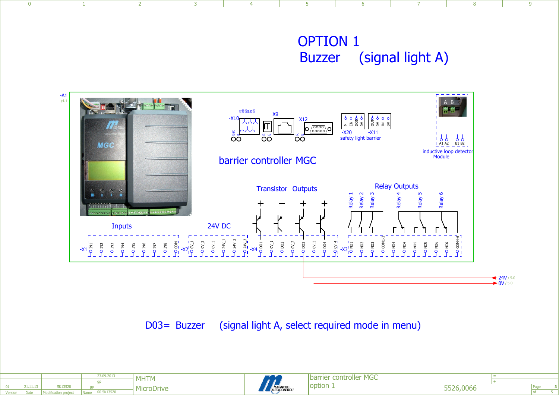## OPTION 1 (signal light A)Buzzer



1 1 2 3 3 4 5 6 7 8 9

D03= Buzzer (signal light A, select required mode in menu)

|                |          |                             |      | 23.09.2013 | <b>MHTM</b> |
|----------------|----------|-----------------------------|------|------------|-------------|
|                |          |                             |      | .gp        |             |
| 01             | 21.11.13 | 5K13528                     | qp   |            | MicroDrive  |
| <b>Version</b> | Date.    | <b>Modification project</b> | Name | 00 5K13520 |             |
|                |          |                             |      |            |             |

 $\overline{0}$ 



barrier controller MGCoption 1

+

Page

5 **3**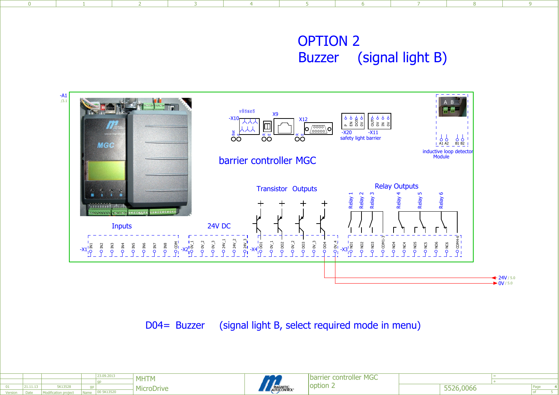## OPTION 2Buzzer (signal light B)



1 1 2 3 3 4 5 6 7 8 9

D04= Buzzer (signal light B, select required mode in menu)

|         |          |                             |             | 23.09.2013 | <b>MHTM</b>       |
|---------|----------|-----------------------------|-------------|------------|-------------------|
|         |          |                             |             | qp         |                   |
| 01      | 21.11.13 | 5K13528                     | qp          |            | <b>MicroDrive</b> |
| Version | Date:    | <b>Modification project</b> | <b>Name</b> | 00 5K13520 |                   |
|         |          |                             |             |            |                   |

 $\overline{0}$ 



barrier controller MGCoption 2

+

Page

5 **4**